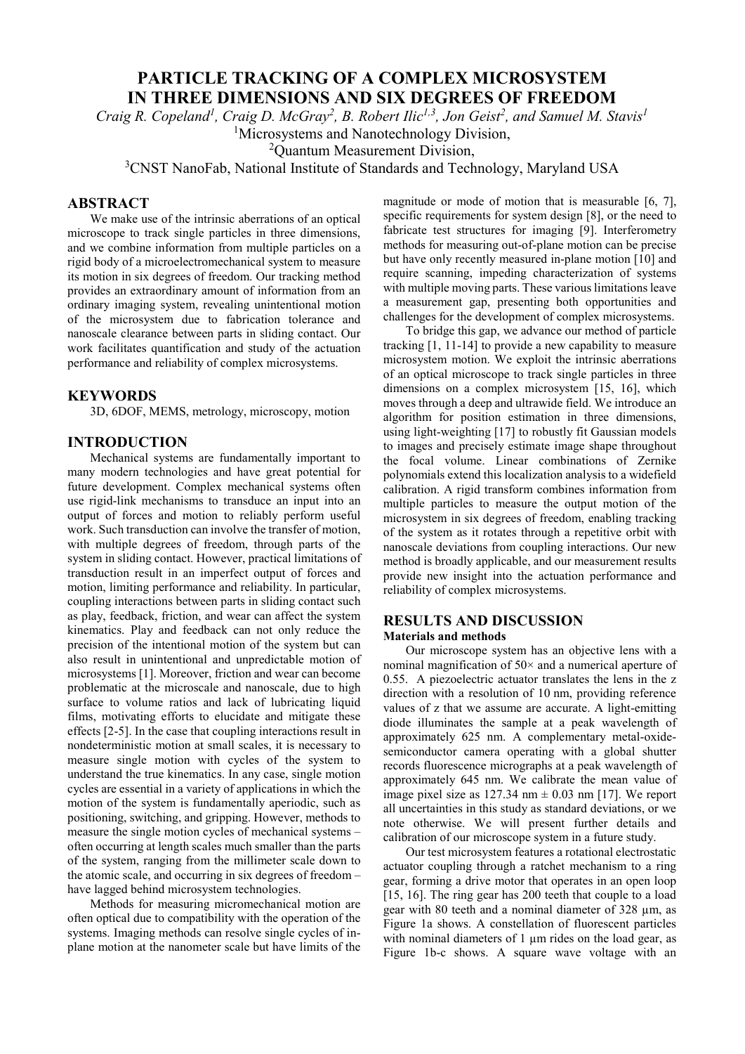# **PARTICLE TRACKING OF A COMPLEX MICROSYSTEM IN THREE DIMENSIONS AND SIX DEGREES OF FREEDOM**

*Craig R. Copeland<sup>1</sup>, Craig D. McGray<sup>2</sup>, B. Robert Ilic<sup>1,3</sup>, Jon Geist<sup>2</sup>, and Samuel M. Stavis<sup>1</sup>* 

<sup>1</sup>Microsystems and Nanotechnology Division,

2 Quantum Measurement Division,

<sup>3</sup>CNST NanoFab, National Institute of Standards and Technology, Maryland USA

## **ABSTRACT**

 We make use of the intrinsic aberrations of an optical microscope to track single particles in three dimensions, and we combine information from multiple particles on a rigid body of a microelectromechanical system to measure its motion in six degrees of freedom. Our tracking method provides an extraordinary amount of information from an ordinary imaging system, revealing unintentional motion of the microsystem due to fabrication tolerance and nanoscale clearance between parts in sliding contact. Our work facilitates quantification and study of the actuation performance and reliability of complex microsystems.

## **KEYWORDS**

3D, 6DOF, MEMS, metrology, microscopy, motion

## **INTRODUCTION**

Mechanical systems are fundamentally important to many modern technologies and have great potential for future development. Complex mechanical systems often use rigid-link mechanisms to transduce an input into an output of forces and motion to reliably perform useful work. Such transduction can involve the transfer of motion, with multiple degrees of freedom, through parts of the system in sliding contact. However, practical limitations of transduction result in an imperfect output of forces and motion, limiting performance and reliability. In particular, coupling interactions between parts in sliding contact such as play, feedback, friction, and wear can affect the system kinematics. Play and feedback can not only reduce the precision of the intentional motion of the system but can also result in unintentional and unpredictable motion of microsystems [1]. Moreover, friction and wear can become problematic at the microscale and nanoscale, due to high surface to volume ratios and lack of lubricating liquid films, motivating efforts to elucidate and mitigate these effects [2-5]. In the case that coupling interactions result in nondeterministic motion at small scales, it is necessary to measure single motion with cycles of the system to understand the true kinematics. In any case, single motion cycles are essential in a variety of applications in which the motion of the system is fundamentally aperiodic, such as positioning, switching, and gripping. However, methods to measure the single motion cycles of mechanical systems – often occurring at length scales much smaller than the parts of the system, ranging from the millimeter scale down to the atomic scale, and occurring in six degrees of freedom – have lagged behind microsystem technologies.

Methods for measuring micromechanical motion are often optical due to compatibility with the operation of the systems. Imaging methods can resolve single cycles of inplane motion at the nanometer scale but have limits of the magnitude or mode of motion that is measurable [6, 7], specific requirements for system design [8], or the need to fabricate test structures for imaging [9]. Interferometry methods for measuring out-of-plane motion can be precise but have only recently measured in-plane motion [10] and require scanning, impeding characterization of systems with multiple moving parts. These various limitations leave a measurement gap, presenting both opportunities and challenges for the development of complex microsystems.

To bridge this gap, we advance our method of particle tracking [1, 11-14] to provide a new capability to measure microsystem motion. We exploit the intrinsic aberrations of an optical microscope to track single particles in three dimensions on a complex microsystem [15, 16], which moves through a deep and ultrawide field. We introduce an algorithm for position estimation in three dimensions, using light-weighting [17] to robustly fit Gaussian models to images and precisely estimate image shape throughout the focal volume. Linear combinations of Zernike polynomials extend this localization analysis to a widefield calibration. A rigid transform combines information from multiple particles to measure the output motion of the microsystem in six degrees of freedom, enabling tracking of the system as it rotates through a repetitive orbit with nanoscale deviations from coupling interactions. Our new method is broadly applicable, and our measurement results provide new insight into the actuation performance and reliability of complex microsystems.

#### **RESULTS AND DISCUSSION Materials and methods**

Our microscope system has an objective lens with a nominal magnification of 50× and a numerical aperture of 0.55. A piezoelectric actuator translates the lens in the z direction with a resolution of 10 nm, providing reference values of z that we assume are accurate. A light-emitting diode illuminates the sample at a peak wavelength of approximately 625 nm. A complementary metal-oxidesemiconductor camera operating with a global shutter records fluorescence micrographs at a peak wavelength of approximately 645 nm. We calibrate the mean value of image pixel size as  $127.34$  nm  $\pm$  0.03 nm [17]. We report all uncertainties in this study as standard deviations, or we note otherwise. We will present further details and calibration of our microscope system in a future study.

Our test microsystem features a rotational electrostatic actuator coupling through a ratchet mechanism to a ring gear, forming a drive motor that operates in an open loop [15, 16]. The ring gear has 200 teeth that couple to a load gear with 80 teeth and a nominal diameter of 328 µm, as Figure 1a shows. A constellation of fluorescent particles with nominal diameters of  $1 \mu m$  rides on the load gear, as Figure 1b-c shows. A square wave voltage with an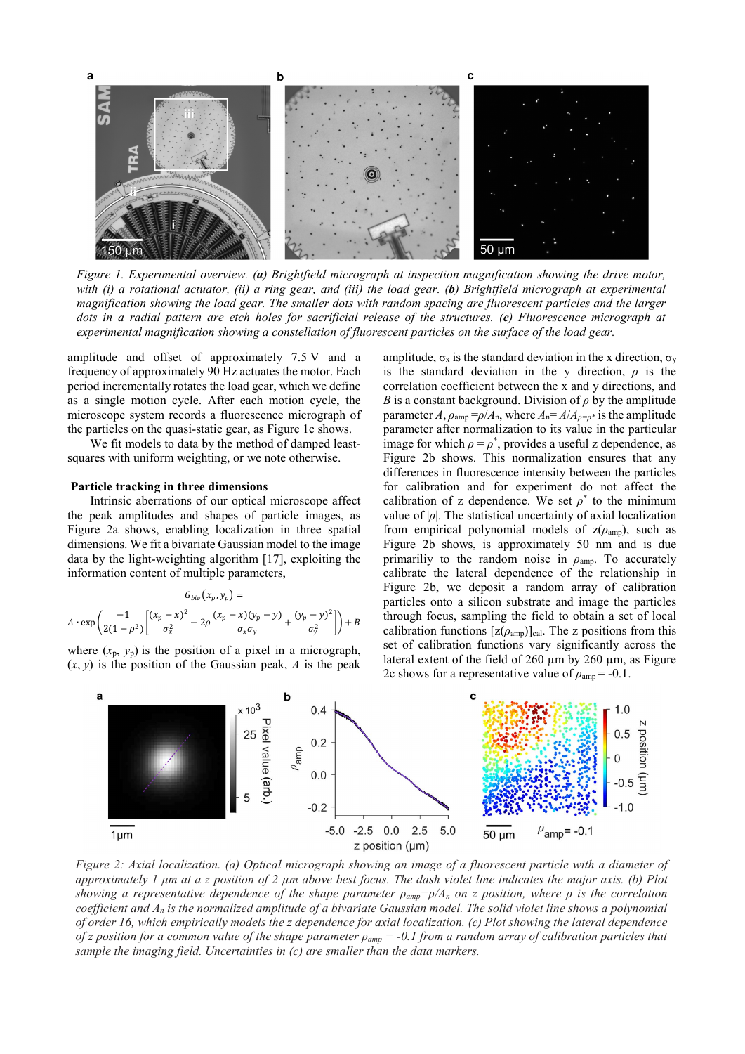

*Figure 1. Experimental overview. (a) Brightfield micrograph at inspection magnification showing the drive motor, with (i) a rotational actuator, (ii) a ring gear, and (iii) the load gear. (b) Brightfield micrograph at experimental magnification showing the load gear. The smaller dots with random spacing are fluorescent particles and the larger dots in a radial pattern are etch holes for sacrificial release of the structures. (c) Fluorescence micrograph at experimental magnification showing a constellation of fluorescent particles on the surface of the load gear.* 

amplitude and offset of approximately 7.5 V and a frequency of approximately 90 Hz actuates the motor. Each period incrementally rotates the load gear, which we define as a single motion cycle. After each motion cycle, the microscope system records a fluorescence micrograph of the particles on the quasi-static gear, as Figure 1c shows.

We fit models to data by the method of damped leastsquares with uniform weighting, or we note otherwise.

#### **Particle tracking in three dimensions**

Intrinsic aberrations of our optical microscope affect the peak amplitudes and shapes of particle images, as Figure 2a shows, enabling localization in three spatial dimensions. We fit a bivariate Gaussian model to the image data by the light-weighting algorithm [17], exploiting the information content of multiple parameters,

$$
G_{biv}(x_p, y_p) =
$$
  

$$
A \cdot \exp\left(\frac{-1}{2(1-\rho^2)} \left[ \frac{(x_p - x)^2}{\sigma_x^2} - 2\rho \frac{(x_p - x)(y_p - y)}{\sigma_x \sigma_y} + \frac{(y_p - y)^2}{\sigma_y^2} \right] \right) + B
$$

where  $(x_p, y_p)$  is the position of a pixel in a micrograph,  $(x, y)$  is the position of the Gaussian peak, *A* is the peak

amplitude,  $\sigma_x$  is the standard deviation in the x direction,  $\sigma_y$ is the standard deviation in the y direction,  $\rho$  is the correlation coefficient between the x and y directions, and *B* is a constant background. Division of  $\rho$  by the amplitude parameter *A*,  $\rho_{\text{amp}} = \rho/A_n$ , where  $A_n = A/A_{\rho = \rho^*}$  is the amplitude parameter after normalization to its value in the particular image for which  $\rho = \rho^*$ , provides a useful z dependence, as Figure 2b shows. This normalization ensures that any differences in fluorescence intensity between the particles for calibration and for experiment do not affect the calibration of z dependence. We set  $\rho^*$  to the minimum value of  $|\rho|$ . The statistical uncertainty of axial localization from empirical polynomial models of  $z(\rho_{\text{amp}})$ , such as Figure 2b shows, is approximately 50 nm and is due primariliy to the random noise in  $\rho_{\text{amp}}$ . To accurately calibrate the lateral dependence of the relationship in Figure 2b, we deposit a random array of calibration particles onto a silicon substrate and image the particles through focus, sampling the field to obtain a set of local calibration functions  $[z(\rho_{amp})]_{cal}$ . The z positions from this set of calibration functions vary significantly across the lateral extent of the field of 260 µm by 260 µm, as Figure 2c shows for a representative value of  $\rho_{\text{amp}} = -0.1$ .



*Figure 2: Axial localization. (a) Optical micrograph showing an image of a fluorescent particle with a diameter of approximately 1 μm at a z position of 2 µm above best focus. The dash violet line indicates the major axis. (b) Plot showing a representative dependence of the shape parameter*  $\rho_{amp} = \rho/A_n$  *on z position, where*  $\rho$  *is the correlation coefficient and An is the normalized amplitude of a bivariate Gaussian model. The solid violet line shows a polynomial of order 16, which empirically models the z dependence for axial localization. (c) Plot showing the lateral dependence of z position for a common value of the shape parameter ρamp = -0.1 from a random array of calibration particles that sample the imaging field. Uncertainties in (c) are smaller than the data markers.*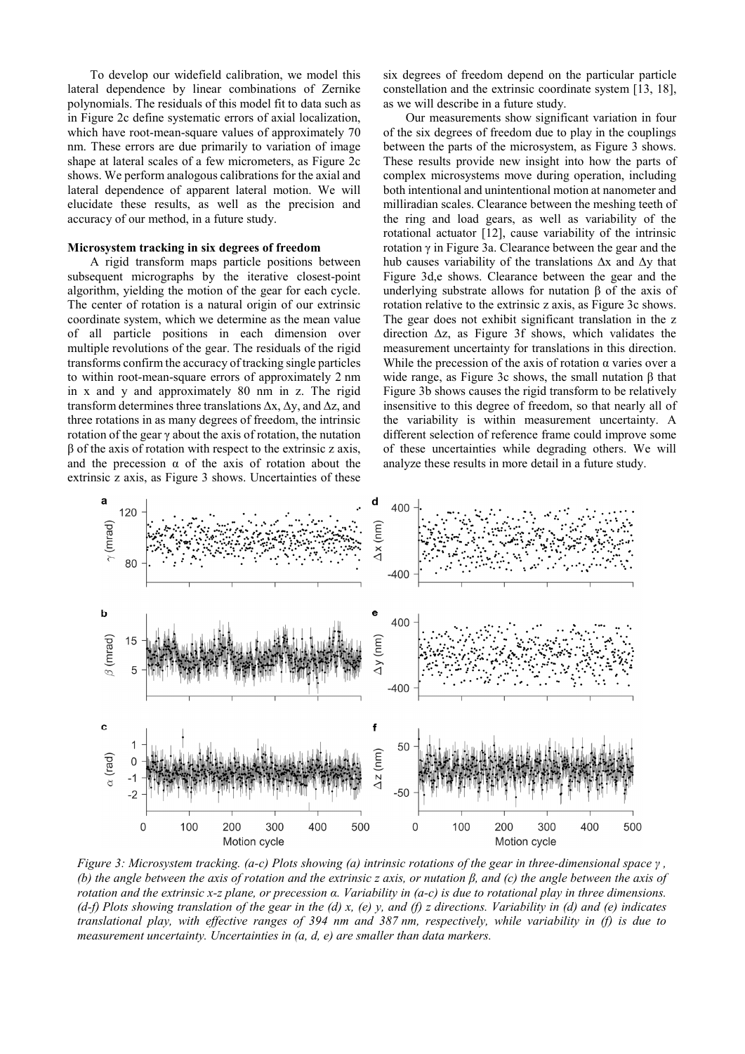To develop our widefield calibration, we model this lateral dependence by linear combinations of Zernike polynomials. The residuals of this model fit to data such as in Figure 2c define systematic errors of axial localization, which have root-mean-square values of approximately 70 nm. These errors are due primarily to variation of image shape at lateral scales of a few micrometers, as Figure 2c shows. We perform analogous calibrations for the axial and lateral dependence of apparent lateral motion. We will elucidate these results, as well as the precision and accuracy of our method, in a future study.

#### **Microsystem tracking in six degrees of freedom**

A rigid transform maps particle positions between subsequent micrographs by the iterative closest-point algorithm, yielding the motion of the gear for each cycle. The center of rotation is a natural origin of our extrinsic coordinate system, which we determine as the mean value of all particle positions in each dimension over multiple revolutions of the gear. The residuals of the rigid transforms confirm the accuracy of tracking single particles to within root-mean-square errors of approximately 2 nm in x and y and approximately 80 nm in z. The rigid transform determines three translations ∆x, ∆y, and ∆z, and three rotations in as many degrees of freedom, the intrinsic rotation of the gear  $\gamma$  about the axis of rotation, the nutation β of the axis of rotation with respect to the extrinsic z axis, and the precession  $\alpha$  of the axis of rotation about the extrinsic z axis, as Figure 3 shows. Uncertainties of these

six degrees of freedom depend on the particular particle constellation and the extrinsic coordinate system [13, 18], as we will describe in a future study.

Our measurements show significant variation in four of the six degrees of freedom due to play in the couplings between the parts of the microsystem, as Figure 3 shows. These results provide new insight into how the parts of complex microsystems move during operation, including both intentional and unintentional motion at nanometer and milliradian scales. Clearance between the meshing teeth of the ring and load gears, as well as variability of the rotational actuator [12], cause variability of the intrinsic rotation γ in Figure 3a. Clearance between the gear and the hub causes variability of the translations ∆x and ∆y that Figure 3d,e shows. Clearance between the gear and the underlying substrate allows for nutation  $β$  of the axis of rotation relative to the extrinsic z axis, as Figure 3c shows. The gear does not exhibit significant translation in the z direction ∆z, as Figure 3f shows, which validates the measurement uncertainty for translations in this direction. While the precession of the axis of rotation  $\alpha$  varies over a wide range, as Figure 3c shows, the small nutation  $β$  that Figure 3b shows causes the rigid transform to be relatively insensitive to this degree of freedom, so that nearly all of the variability is within measurement uncertainty. A different selection of reference frame could improve some of these uncertainties while degrading others. We will analyze these results in more detail in a future study.



*Figure 3: Microsystem tracking. (a-c) Plots showing (a) intrinsic rotations of the gear in three-dimensional space γ , (b) the angle between the axis of rotation and the extrinsic z axis, or nutation β, and (c) the angle between the axis of rotation and the extrinsic x-z plane, or precession α. Variability in (a-c) is due to rotational play in three dimensions. (d-f) Plots showing translation of the gear in the (d) x, (e) y, and (f) z directions. Variability in (d) and (e) indicates translational play, with effective ranges of 394 nm and 387 nm, respectively, while variability in (f) is due to measurement uncertainty. Uncertainties in (a, d, e) are smaller than data markers.*